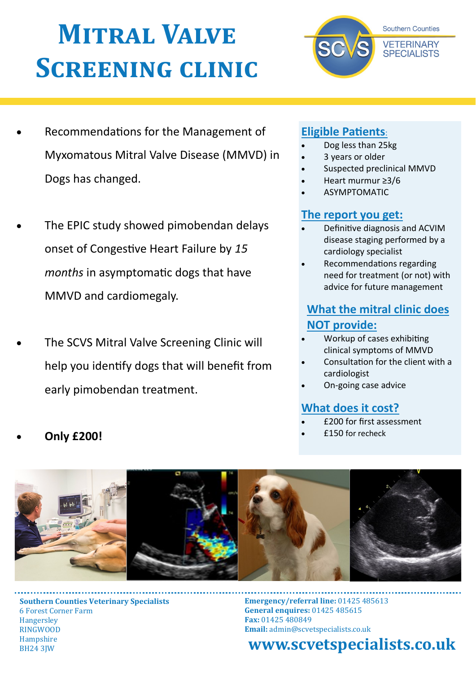# **Mitral Valve Screening clinic**



- The EPIC study showed pimobendan delays onset of Congestive Heart Failure by *15 months* in asymptomatic dogs that have MMVD and cardiomegaly.
- The SCVS Mitral Valve Screening Clinic will help you identify dogs that will benefit from early pimobendan treatment.

## **Eligible Patients**:

- Dog less than 25kg
- 3 years or older
- Suspected preclinical MMVD

**Southern Counties** 

**VETERINARY SPECIALISTS** 

- Heart murmur ≥3/6
- ASYMPTOMATIC

## **The report you get:**

- Definitive diagnosis and ACVIM disease staging performed by a cardiology specialist
- Recommendations regarding need for treatment (or not) with advice for future management

## **What the mitral clinic does NOT provide:**

- Workup of cases exhibiting clinical symptoms of MMVD
- Consultation for the client with a cardiologist
- On-going case advice

## **What does it cost?**

- £200 for first assessment
- £150 for recheck



**Southern Counties Veterinary Specialists** 6 Forest Corner Farm **Hangersley** RINGWOOD Hampshire BH24 3JW

**Emergency/referral line:** 01425 485613 **General enquires:** 01425 485615 **Fax:** 01425 480849 **Email:** admin@scvetspecialists.co.uk

**www.scvetspecialists.co.uk**

**Only £200!**